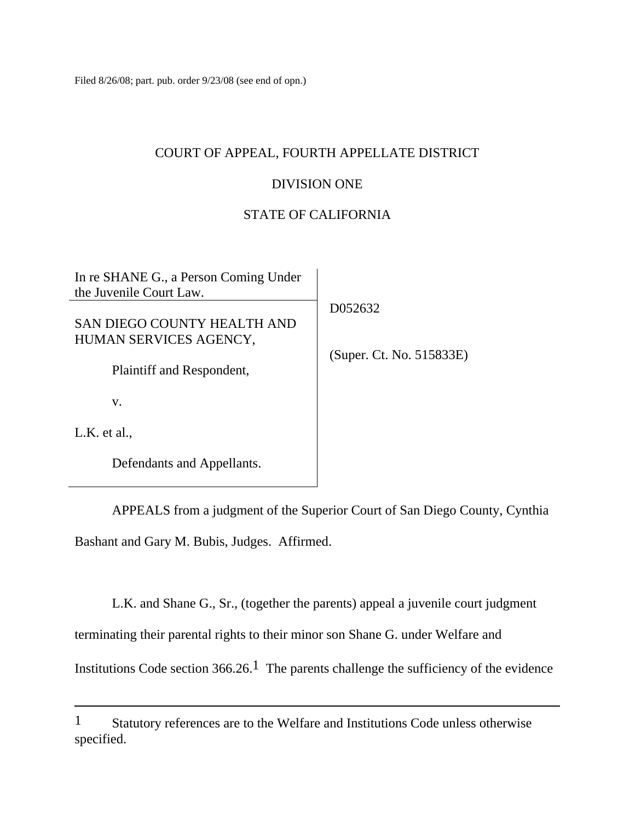Filed 8/26/08; part. pub. order 9/23/08 (see end of opn.)

# COURT OF APPEAL, FOURTH APPELLATE DISTRICT

## DIVISION ONE

# STATE OF CALIFORNIA

| In re SHANE G., a Person Coming Under<br>the Juvenile Court Law. |                          |
|------------------------------------------------------------------|--------------------------|
| SAN DIEGO COUNTY HEALTH AND<br>HUMAN SERVICES AGENCY,            | D052632                  |
| Plaintiff and Respondent,                                        | (Super. Ct. No. 515833E) |
| V.                                                               |                          |
| $L.K.$ et al.,                                                   |                          |
| Defendants and Appellants.                                       |                          |

 APPEALS from a judgment of the Superior Court of San Diego County, Cynthia Bashant and Gary M. Bubis, Judges. Affirmed.

L.K. and Shane G., Sr., (together the parents) appeal a juvenile court judgment

terminating their parental rights to their minor son Shane G. under Welfare and

Institutions Code section  $366.26$ .<sup>1</sup> The parents challenge the sufficiency of the evidence

<sup>1</sup> Statutory references are to the Welfare and Institutions Code unless otherwise specified.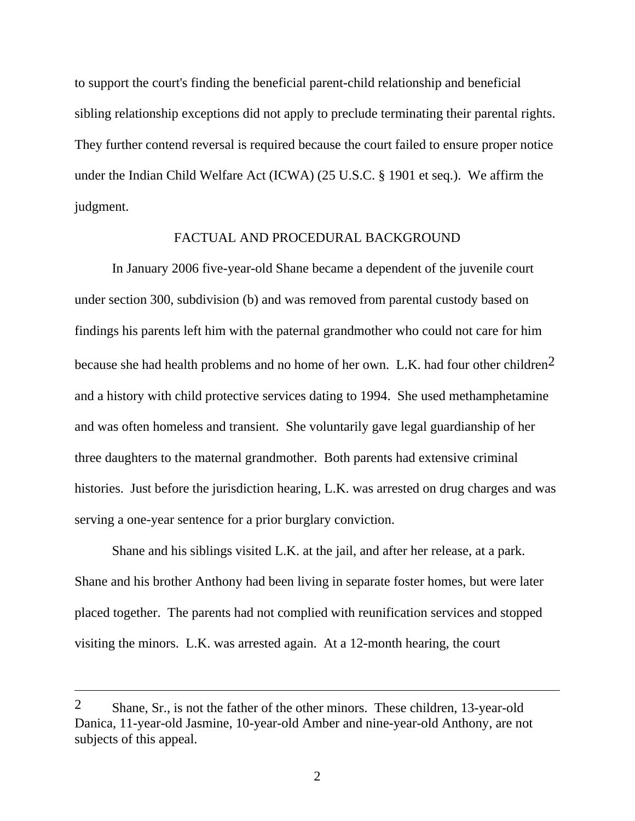to support the court's finding the beneficial parent-child relationship and beneficial sibling relationship exceptions did not apply to preclude terminating their parental rights. They further contend reversal is required because the court failed to ensure proper notice under the Indian Child Welfare Act (ICWA) (25 U.S.C. § 1901 et seq.). We affirm the judgment.

### FACTUAL AND PROCEDURAL BACKGROUND

 In January 2006 five-year-old Shane became a dependent of the juvenile court under section 300, subdivision (b) and was removed from parental custody based on findings his parents left him with the paternal grandmother who could not care for him because she had health problems and no home of her own. L.K. had four other children<sup>2</sup> and a history with child protective services dating to 1994. She used methamphetamine and was often homeless and transient. She voluntarily gave legal guardianship of her three daughters to the maternal grandmother. Both parents had extensive criminal histories. Just before the jurisdiction hearing, L.K. was arrested on drug charges and was serving a one-year sentence for a prior burglary conviction.

 Shane and his siblings visited L.K. at the jail, and after her release, at a park. Shane and his brother Anthony had been living in separate foster homes, but were later placed together. The parents had not complied with reunification services and stopped visiting the minors. L.K. was arrested again. At a 12-month hearing, the court

<sup>2</sup> Shane, Sr., is not the father of the other minors. These children, 13-year-old Danica, 11-year-old Jasmine, 10-year-old Amber and nine-year-old Anthony, are not subjects of this appeal.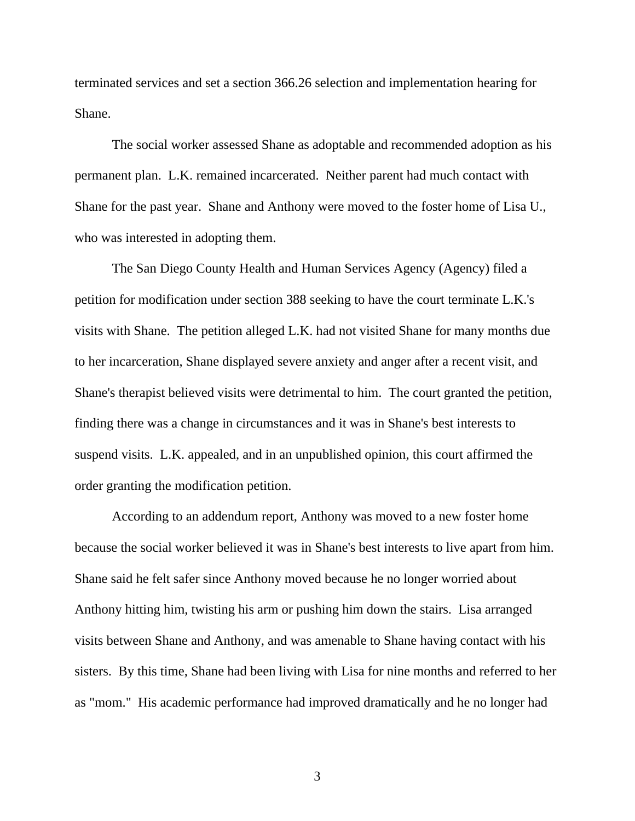terminated services and set a section 366.26 selection and implementation hearing for Shane.

 The social worker assessed Shane as adoptable and recommended adoption as his permanent plan. L.K. remained incarcerated. Neither parent had much contact with Shane for the past year. Shane and Anthony were moved to the foster home of Lisa U., who was interested in adopting them.

 The San Diego County Health and Human Services Agency (Agency) filed a petition for modification under section 388 seeking to have the court terminate L.K.'s visits with Shane. The petition alleged L.K. had not visited Shane for many months due to her incarceration, Shane displayed severe anxiety and anger after a recent visit, and Shane's therapist believed visits were detrimental to him. The court granted the petition, finding there was a change in circumstances and it was in Shane's best interests to suspend visits. L.K. appealed, and in an unpublished opinion, this court affirmed the order granting the modification petition.

 According to an addendum report, Anthony was moved to a new foster home because the social worker believed it was in Shane's best interests to live apart from him. Shane said he felt safer since Anthony moved because he no longer worried about Anthony hitting him, twisting his arm or pushing him down the stairs. Lisa arranged visits between Shane and Anthony, and was amenable to Shane having contact with his sisters. By this time, Shane had been living with Lisa for nine months and referred to her as "mom." His academic performance had improved dramatically and he no longer had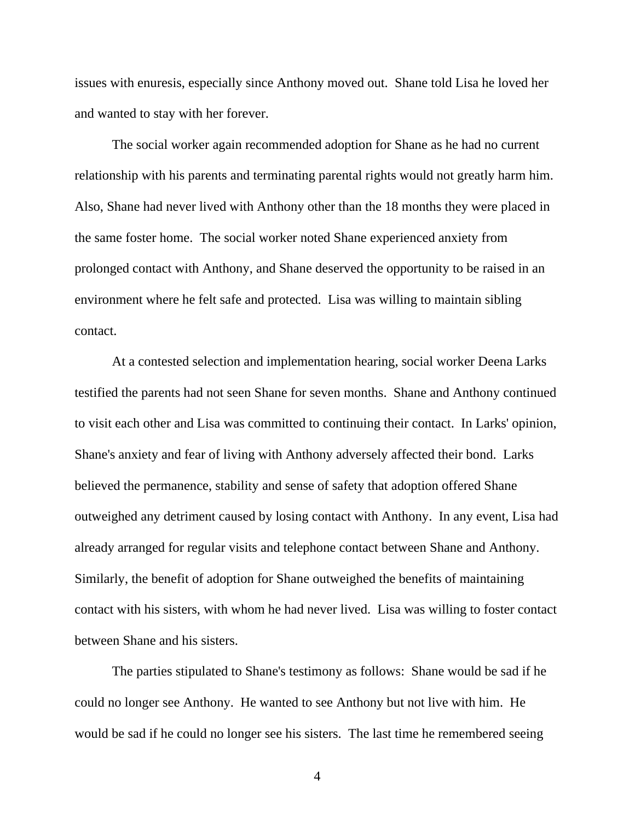issues with enuresis, especially since Anthony moved out. Shane told Lisa he loved her and wanted to stay with her forever.

 The social worker again recommended adoption for Shane as he had no current relationship with his parents and terminating parental rights would not greatly harm him. Also, Shane had never lived with Anthony other than the 18 months they were placed in the same foster home. The social worker noted Shane experienced anxiety from prolonged contact with Anthony, and Shane deserved the opportunity to be raised in an environment where he felt safe and protected. Lisa was willing to maintain sibling contact.

 At a contested selection and implementation hearing, social worker Deena Larks testified the parents had not seen Shane for seven months. Shane and Anthony continued to visit each other and Lisa was committed to continuing their contact. In Larks' opinion, Shane's anxiety and fear of living with Anthony adversely affected their bond. Larks believed the permanence, stability and sense of safety that adoption offered Shane outweighed any detriment caused by losing contact with Anthony. In any event, Lisa had already arranged for regular visits and telephone contact between Shane and Anthony. Similarly, the benefit of adoption for Shane outweighed the benefits of maintaining contact with his sisters, with whom he had never lived. Lisa was willing to foster contact between Shane and his sisters.

 The parties stipulated to Shane's testimony as follows: Shane would be sad if he could no longer see Anthony. He wanted to see Anthony but not live with him. He would be sad if he could no longer see his sisters. The last time he remembered seeing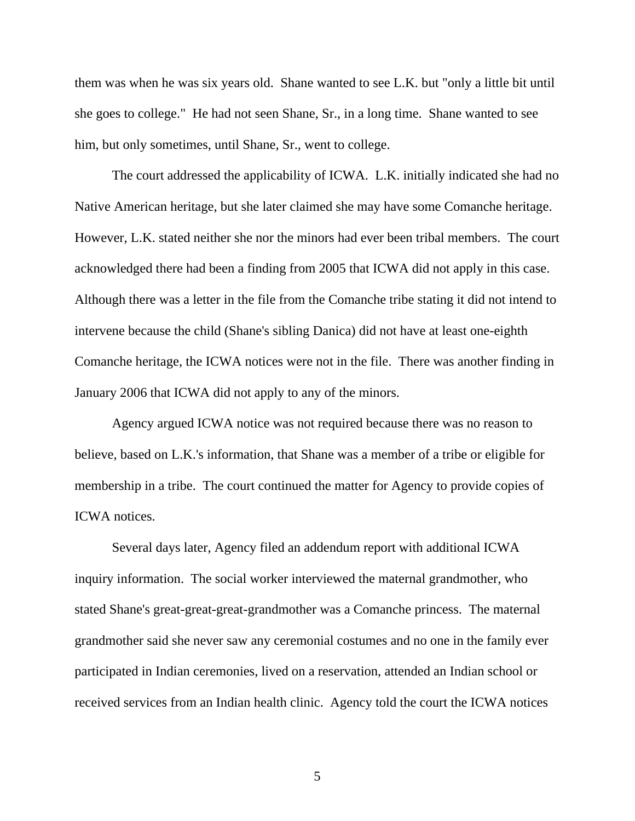them was when he was six years old. Shane wanted to see L.K. but "only a little bit until she goes to college." He had not seen Shane, Sr., in a long time. Shane wanted to see him, but only sometimes, until Shane, Sr., went to college.

 The court addressed the applicability of ICWA. L.K. initially indicated she had no Native American heritage, but she later claimed she may have some Comanche heritage. However, L.K. stated neither she nor the minors had ever been tribal members. The court acknowledged there had been a finding from 2005 that ICWA did not apply in this case. Although there was a letter in the file from the Comanche tribe stating it did not intend to intervene because the child (Shane's sibling Danica) did not have at least one-eighth Comanche heritage, the ICWA notices were not in the file. There was another finding in January 2006 that ICWA did not apply to any of the minors.

 Agency argued ICWA notice was not required because there was no reason to believe, based on L.K.'s information, that Shane was a member of a tribe or eligible for membership in a tribe. The court continued the matter for Agency to provide copies of ICWA notices.

 Several days later, Agency filed an addendum report with additional ICWA inquiry information. The social worker interviewed the maternal grandmother, who stated Shane's great-great-great-grandmother was a Comanche princess. The maternal grandmother said she never saw any ceremonial costumes and no one in the family ever participated in Indian ceremonies, lived on a reservation, attended an Indian school or received services from an Indian health clinic. Agency told the court the ICWA notices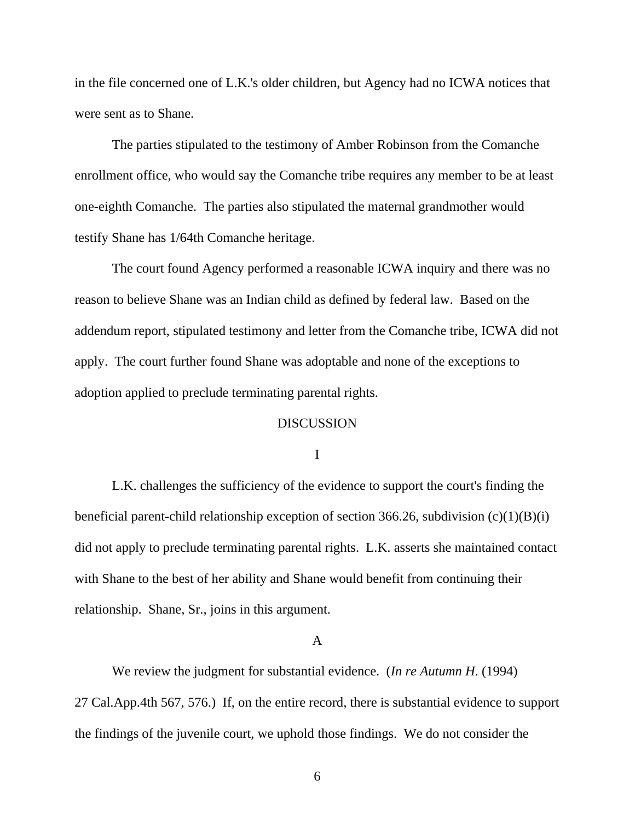in the file concerned one of L.K.'s older children, but Agency had no ICWA notices that were sent as to Shane.

 The parties stipulated to the testimony of Amber Robinson from the Comanche enrollment office, who would say the Comanche tribe requires any member to be at least one-eighth Comanche. The parties also stipulated the maternal grandmother would testify Shane has 1/64th Comanche heritage.

 The court found Agency performed a reasonable ICWA inquiry and there was no reason to believe Shane was an Indian child as defined by federal law. Based on the addendum report, stipulated testimony and letter from the Comanche tribe, ICWA did not apply. The court further found Shane was adoptable and none of the exceptions to adoption applied to preclude terminating parental rights.

## **DISCUSSION**

I

 L.K. challenges the sufficiency of the evidence to support the court's finding the beneficial parent-child relationship exception of section 366.26, subdivision  $(c)(1)(B)(i)$ did not apply to preclude terminating parental rights. L.K. asserts she maintained contact with Shane to the best of her ability and Shane would benefit from continuing their relationship. Shane, Sr., joins in this argument.

### A

 We review the judgment for substantial evidence. (*In re Autumn H.* (1994) 27 Cal.App.4th 567, 576.) If, on the entire record, there is substantial evidence to support the findings of the juvenile court, we uphold those findings. We do not consider the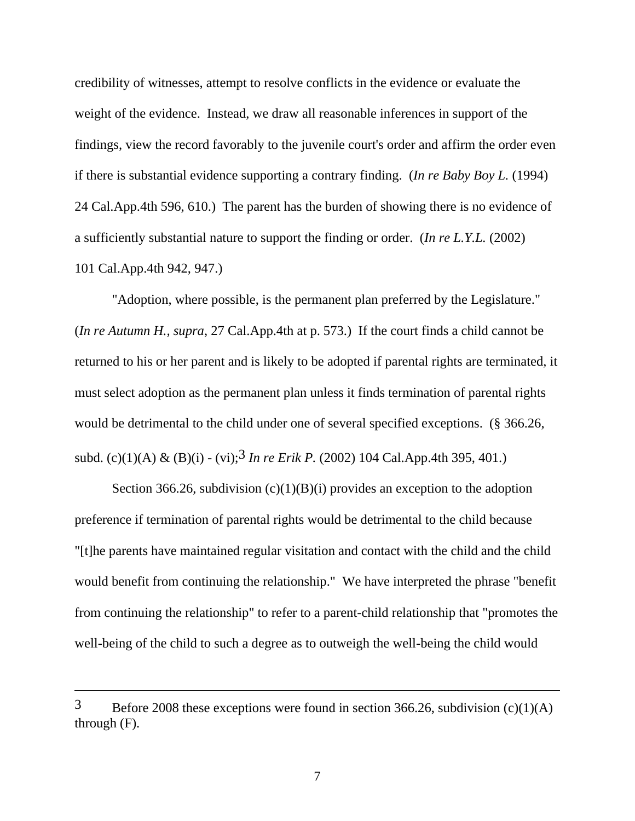credibility of witnesses, attempt to resolve conflicts in the evidence or evaluate the weight of the evidence. Instead, we draw all reasonable inferences in support of the findings, view the record favorably to the juvenile court's order and affirm the order even if there is substantial evidence supporting a contrary finding. (*In re Baby Boy L.* (1994) 24 Cal.App.4th 596, 610.) The parent has the burden of showing there is no evidence of a sufficiently substantial nature to support the finding or order. (*In re L.Y.L.* (2002) 101 Cal.App.4th 942, 947.)

 "Adoption, where possible, is the permanent plan preferred by the Legislature." (*In re Autumn H., supra*, 27 Cal.App.4th at p. 573.) If the court finds a child cannot be returned to his or her parent and is likely to be adopted if parental rights are terminated, it must select adoption as the permanent plan unless it finds termination of parental rights would be detrimental to the child under one of several specified exceptions. (§ 366.26, subd. (c)(1)(A) & (B)(i) - (vi);3 *In re Erik P.* (2002) 104 Cal.App.4th 395, 401.)

Section 366.26, subdivision  $(c)(1)(B)(i)$  provides an exception to the adoption preference if termination of parental rights would be detrimental to the child because "[t]he parents have maintained regular visitation and contact with the child and the child would benefit from continuing the relationship." We have interpreted the phrase "benefit from continuing the relationship" to refer to a parent-child relationship that "promotes the well-being of the child to such a degree as to outweigh the well-being the child would

 $\overline{a}$ 

 $3$  Before 2008 these exceptions were found in section 366.26, subdivision (c)(1)(A) through (F).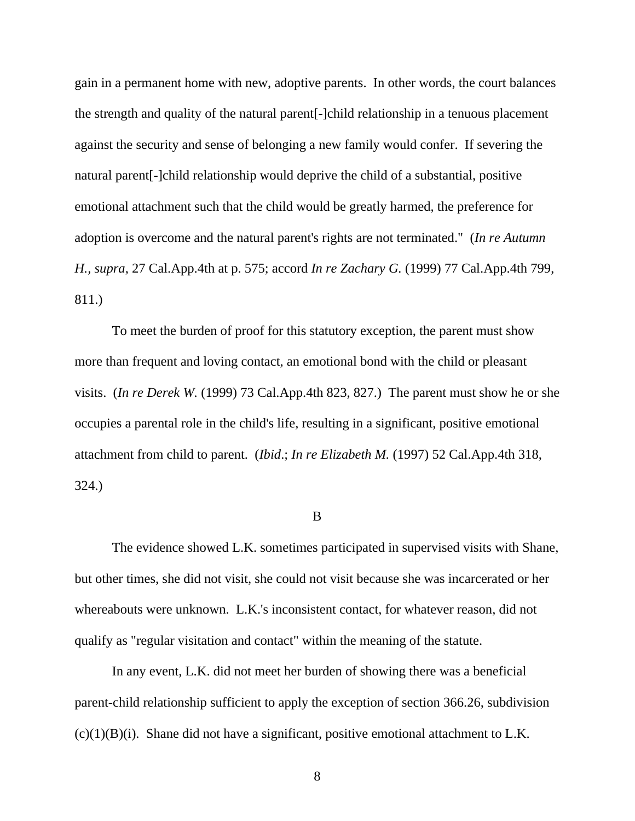gain in a permanent home with new, adoptive parents. In other words, the court balances the strength and quality of the natural parent[-]child relationship in a tenuous placement against the security and sense of belonging a new family would confer. If severing the natural parent[-]child relationship would deprive the child of a substantial, positive emotional attachment such that the child would be greatly harmed, the preference for adoption is overcome and the natural parent's rights are not terminated." (*In re Autumn H., supra*, 27 Cal.App.4th at p. 575; accord *In re Zachary G.* (1999) 77 Cal.App.4th 799, 811.)

 To meet the burden of proof for this statutory exception, the parent must show more than frequent and loving contact, an emotional bond with the child or pleasant visits. (*In re Derek W.* (1999) 73 Cal.App.4th 823, 827.) The parent must show he or she occupies a parental role in the child's life, resulting in a significant, positive emotional attachment from child to parent. (*Ibid*.; *In re Elizabeth M.* (1997) 52 Cal.App.4th 318, 324.)

#### B

 The evidence showed L.K. sometimes participated in supervised visits with Shane, but other times, she did not visit, she could not visit because she was incarcerated or her whereabouts were unknown. L.K.'s inconsistent contact, for whatever reason, did not qualify as "regular visitation and contact" within the meaning of the statute.

 In any event, L.K. did not meet her burden of showing there was a beneficial parent-child relationship sufficient to apply the exception of section 366.26, subdivision  $(c)(1)(B)(i)$ . Shane did not have a significant, positive emotional attachment to L.K.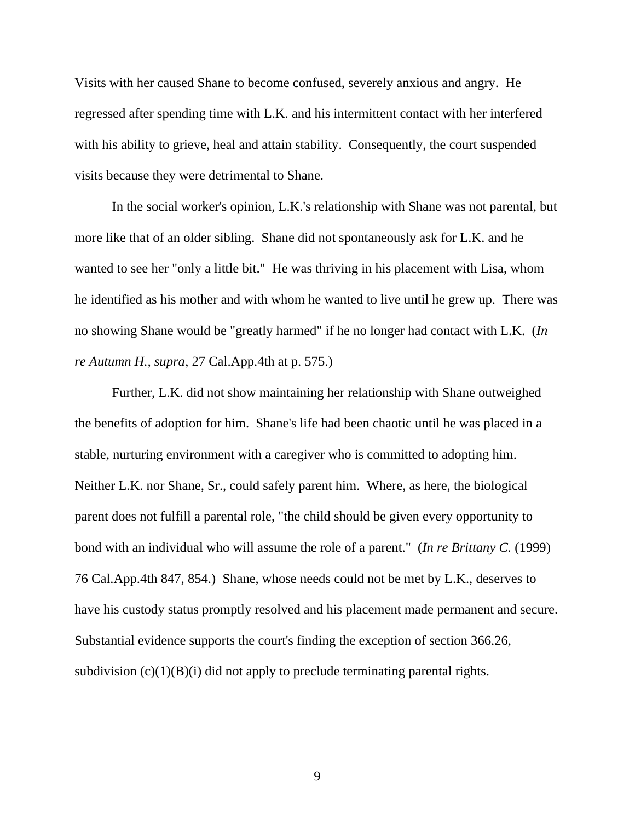Visits with her caused Shane to become confused, severely anxious and angry. He regressed after spending time with L.K. and his intermittent contact with her interfered with his ability to grieve, heal and attain stability. Consequently, the court suspended visits because they were detrimental to Shane.

 In the social worker's opinion, L.K.'s relationship with Shane was not parental, but more like that of an older sibling. Shane did not spontaneously ask for L.K. and he wanted to see her "only a little bit." He was thriving in his placement with Lisa, whom he identified as his mother and with whom he wanted to live until he grew up. There was no showing Shane would be "greatly harmed" if he no longer had contact with L.K. (*In re Autumn H., supra*, 27 Cal.App.4th at p. 575.)

 Further, L.K. did not show maintaining her relationship with Shane outweighed the benefits of adoption for him. Shane's life had been chaotic until he was placed in a stable, nurturing environment with a caregiver who is committed to adopting him. Neither L.K. nor Shane, Sr., could safely parent him. Where, as here, the biological parent does not fulfill a parental role, "the child should be given every opportunity to bond with an individual who will assume the role of a parent." (*In re Brittany C.* (1999) 76 Cal.App.4th 847, 854.) Shane, whose needs could not be met by L.K., deserves to have his custody status promptly resolved and his placement made permanent and secure. Substantial evidence supports the court's finding the exception of section 366.26, subdivision  $(c)(1)(B)(i)$  did not apply to preclude terminating parental rights.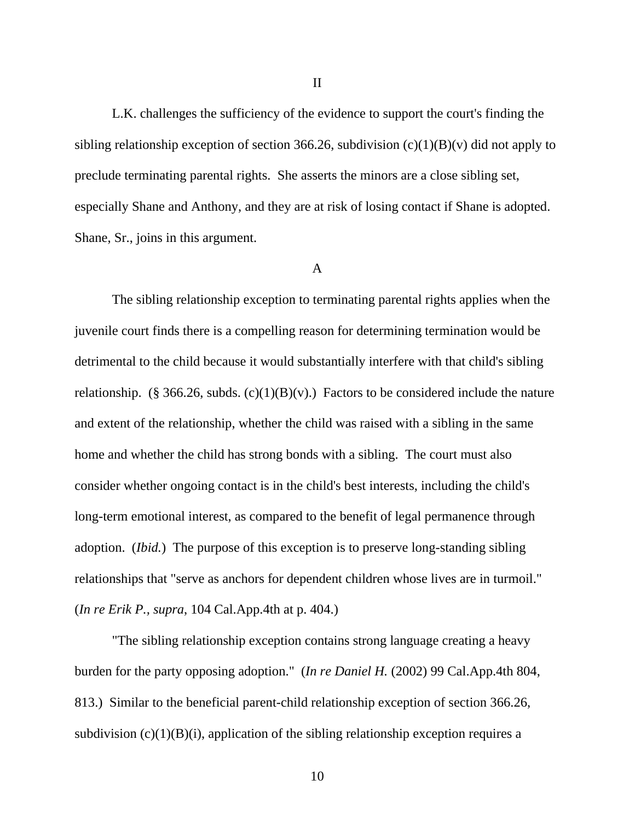L.K. challenges the sufficiency of the evidence to support the court's finding the sibling relationship exception of section 366.26, subdivision  $(c)(1)(B)(v)$  did not apply to preclude terminating parental rights. She asserts the minors are a close sibling set, especially Shane and Anthony, and they are at risk of losing contact if Shane is adopted. Shane, Sr., joins in this argument.

### A

 The sibling relationship exception to terminating parental rights applies when the juvenile court finds there is a compelling reason for determining termination would be detrimental to the child because it would substantially interfere with that child's sibling relationship. (§ 366.26, subds.  $(c)(1)(B)(v)$ .) Factors to be considered include the nature and extent of the relationship, whether the child was raised with a sibling in the same home and whether the child has strong bonds with a sibling. The court must also consider whether ongoing contact is in the child's best interests, including the child's long-term emotional interest, as compared to the benefit of legal permanence through adoption. (*Ibid.*) The purpose of this exception is to preserve long-standing sibling relationships that "serve as anchors for dependent children whose lives are in turmoil." (*In re Erik P., supra*, 104 Cal.App.4th at p. 404.)

 "The sibling relationship exception contains strong language creating a heavy burden for the party opposing adoption." (*In re Daniel H.* (2002) 99 Cal.App.4th 804, 813.) Similar to the beneficial parent-child relationship exception of section 366.26, subdivision  $(c)(1)(B)(i)$ , application of the sibling relationship exception requires a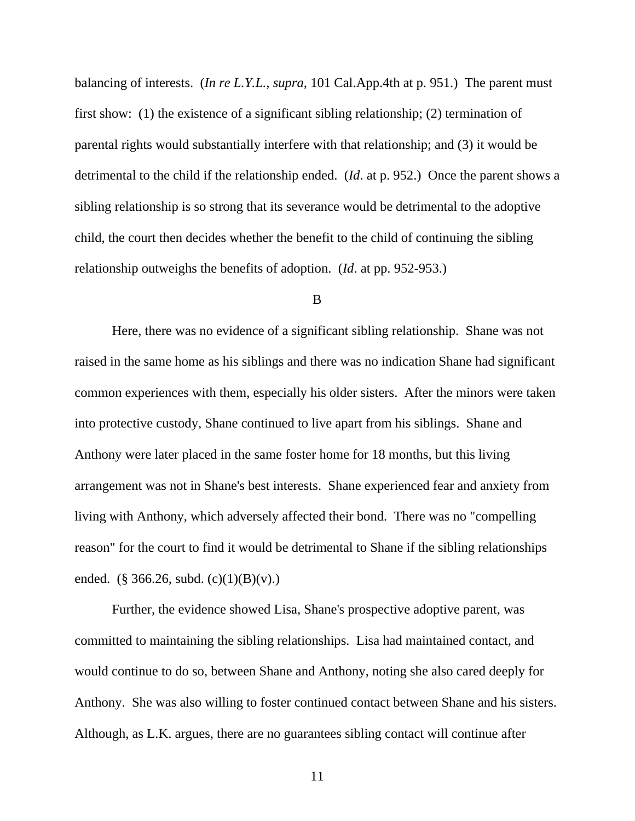balancing of interests. (*In re L.Y.L., supra*, 101 Cal.App.4th at p. 951.) The parent must first show: (1) the existence of a significant sibling relationship; (2) termination of parental rights would substantially interfere with that relationship; and (3) it would be detrimental to the child if the relationship ended. (*Id*. at p. 952.) Once the parent shows a sibling relationship is so strong that its severance would be detrimental to the adoptive child, the court then decides whether the benefit to the child of continuing the sibling relationship outweighs the benefits of adoption. (*Id*. at pp. 952-953.)

#### B

 Here, there was no evidence of a significant sibling relationship. Shane was not raised in the same home as his siblings and there was no indication Shane had significant common experiences with them, especially his older sisters. After the minors were taken into protective custody, Shane continued to live apart from his siblings. Shane and Anthony were later placed in the same foster home for 18 months, but this living arrangement was not in Shane's best interests. Shane experienced fear and anxiety from living with Anthony, which adversely affected their bond. There was no "compelling reason" for the court to find it would be detrimental to Shane if the sibling relationships ended. (§ 366.26, subd.  $(c)(1)(B)(v)$ .)

 Further, the evidence showed Lisa, Shane's prospective adoptive parent, was committed to maintaining the sibling relationships. Lisa had maintained contact, and would continue to do so, between Shane and Anthony, noting she also cared deeply for Anthony. She was also willing to foster continued contact between Shane and his sisters. Although, as L.K. argues, there are no guarantees sibling contact will continue after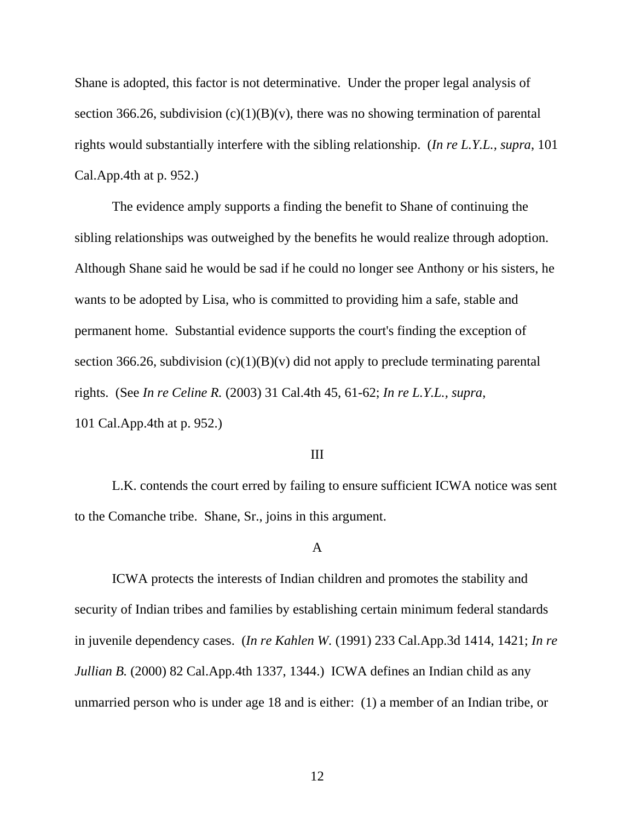Shane is adopted, this factor is not determinative. Under the proper legal analysis of section 366.26, subdivision  $(c)(1)(B)(v)$ , there was no showing termination of parental rights would substantially interfere with the sibling relationship. (*In re L.Y.L., supra*, 101 Cal.App.4th at p. 952.)

 The evidence amply supports a finding the benefit to Shane of continuing the sibling relationships was outweighed by the benefits he would realize through adoption. Although Shane said he would be sad if he could no longer see Anthony or his sisters, he wants to be adopted by Lisa, who is committed to providing him a safe, stable and permanent home. Substantial evidence supports the court's finding the exception of section 366.26, subdivision  $(c)(1)(B)(v)$  did not apply to preclude terminating parental rights. (See *In re Celine R.* (2003) 31 Cal.4th 45, 61-62; *In re L.Y.L., supra*, 101 Cal.App.4th at p. 952.)

### III

 L.K. contends the court erred by failing to ensure sufficient ICWA notice was sent to the Comanche tribe. Shane, Sr., joins in this argument.

### A

 ICWA protects the interests of Indian children and promotes the stability and security of Indian tribes and families by establishing certain minimum federal standards in juvenile dependency cases. (*In re Kahlen W.* (1991) 233 Cal.App.3d 1414, 1421; *In re Jullian B.* (2000) 82 Cal.App.4th 1337, 1344.) ICWA defines an Indian child as any unmarried person who is under age 18 and is either: (1) a member of an Indian tribe, or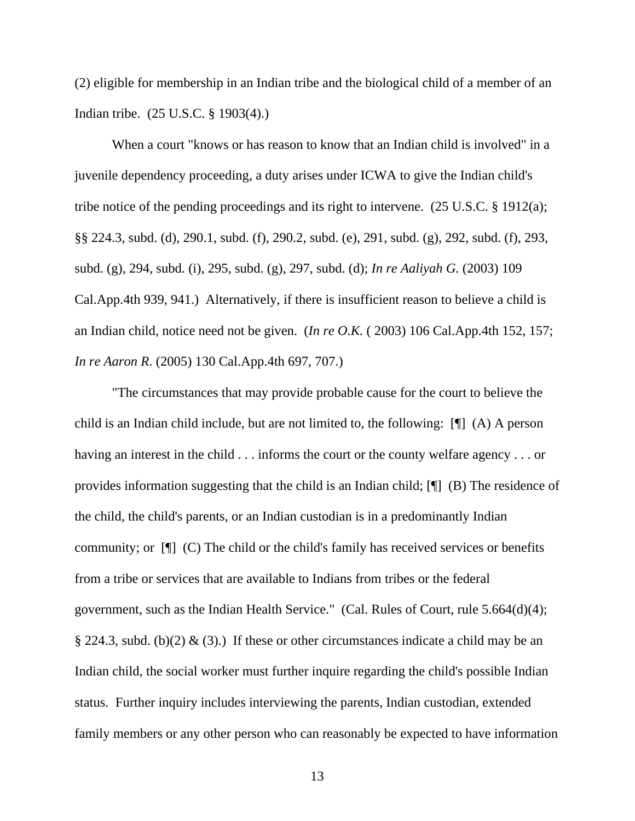(2) eligible for membership in an Indian tribe and the biological child of a member of an Indian tribe. (25 U.S.C. § 1903(4).)

 When a court "knows or has reason to know that an Indian child is involved" in a juvenile dependency proceeding, a duty arises under ICWA to give the Indian child's tribe notice of the pending proceedings and its right to intervene. (25 U.S.C. § 1912(a); §§ 224.3, subd. (d), 290.1, subd. (f), 290.2, subd. (e), 291, subd. (g), 292, subd. (f), 293, subd. (g), 294, subd. (i), 295, subd. (g), 297, subd. (d); *In re Aaliyah G.* (2003) 109 Cal.App.4th 939, 941.) Alternatively, if there is insufficient reason to believe a child is an Indian child, notice need not be given. (*In re O.K.* ( 2003) 106 Cal.App.4th 152, 157; *In re Aaron R*. (2005) 130 Cal.App.4th 697, 707.)

 "The circumstances that may provide probable cause for the court to believe the child is an Indian child include, but are not limited to, the following: [¶] (A) A person having an interest in the child . . . informs the court or the county welfare agency . . . or provides information suggesting that the child is an Indian child; [¶] (B) The residence of the child, the child's parents, or an Indian custodian is in a predominantly Indian community; or [¶] (C) The child or the child's family has received services or benefits from a tribe or services that are available to Indians from tribes or the federal government, such as the Indian Health Service." (Cal. Rules of Court, rule 5.664(d)(4); § 224.3, subd. (b)(2) & (3).) If these or other circumstances indicate a child may be an Indian child, the social worker must further inquire regarding the child's possible Indian status. Further inquiry includes interviewing the parents, Indian custodian, extended family members or any other person who can reasonably be expected to have information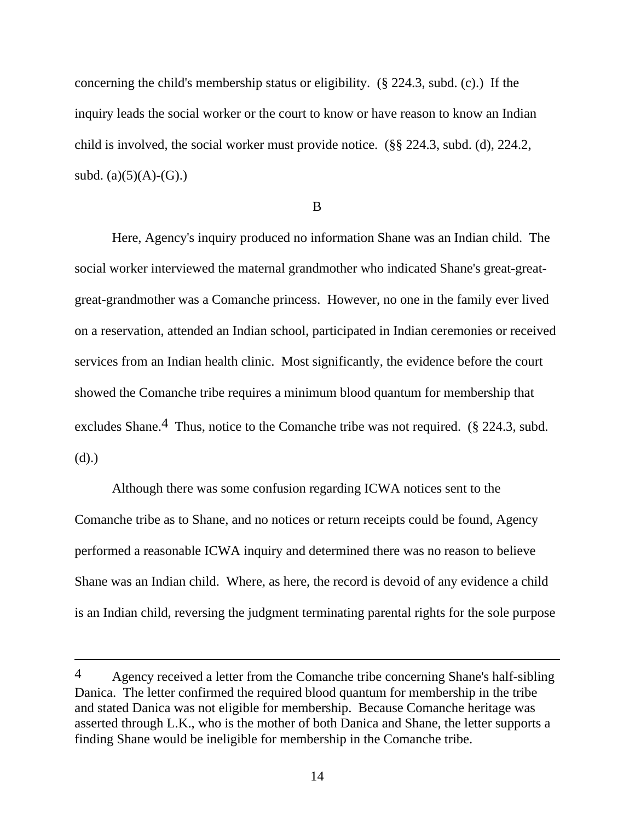concerning the child's membership status or eligibility. (§ 224.3, subd. (c).) If the inquiry leads the social worker or the court to know or have reason to know an Indian child is involved, the social worker must provide notice. (§§ 224.3, subd. (d), 224.2, subd.  $(a)(5)(A)-(G)$ .)

B

 Here, Agency's inquiry produced no information Shane was an Indian child. The social worker interviewed the maternal grandmother who indicated Shane's great-greatgreat-grandmother was a Comanche princess. However, no one in the family ever lived on a reservation, attended an Indian school, participated in Indian ceremonies or received services from an Indian health clinic. Most significantly, the evidence before the court showed the Comanche tribe requires a minimum blood quantum for membership that excludes Shane.<sup>4</sup> Thus, notice to the Comanche tribe was not required. (§ 224.3, subd.) (d).)

 Although there was some confusion regarding ICWA notices sent to the Comanche tribe as to Shane, and no notices or return receipts could be found, Agency performed a reasonable ICWA inquiry and determined there was no reason to believe Shane was an Indian child. Where, as here, the record is devoid of any evidence a child is an Indian child, reversing the judgment terminating parental rights for the sole purpose

 $\overline{a}$ 

<sup>4</sup> Agency received a letter from the Comanche tribe concerning Shane's half-sibling Danica. The letter confirmed the required blood quantum for membership in the tribe and stated Danica was not eligible for membership. Because Comanche heritage was asserted through L.K., who is the mother of both Danica and Shane, the letter supports a finding Shane would be ineligible for membership in the Comanche tribe.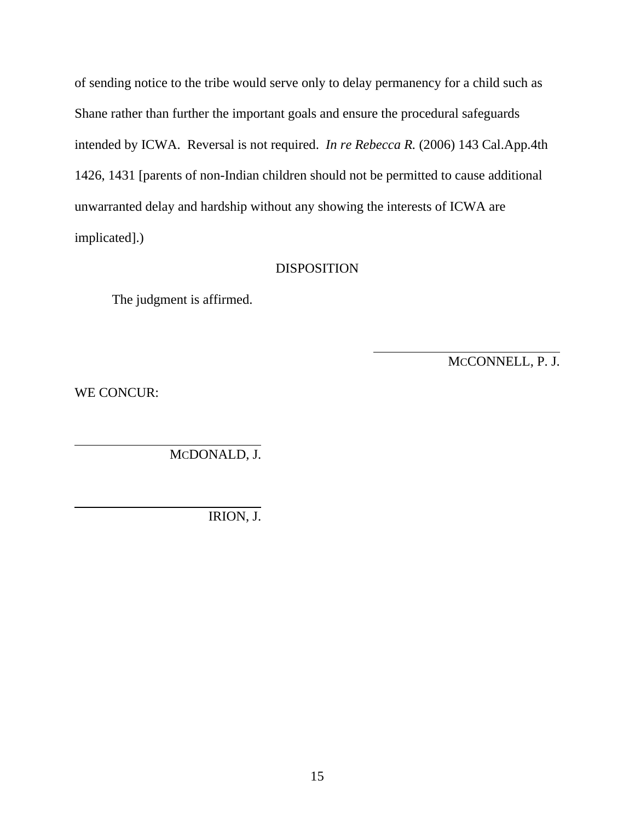of sending notice to the tribe would serve only to delay permanency for a child such as Shane rather than further the important goals and ensure the procedural safeguards intended by ICWA. Reversal is not required. *In re Rebecca R.* (2006) 143 Cal.App.4th 1426, 1431 [parents of non-Indian children should not be permitted to cause additional unwarranted delay and hardship without any showing the interests of ICWA are implicated].)

## DISPOSITION

 $\overline{a}$ 

The judgment is affirmed.

MCCONNELL, P. J.

WE CONCUR:

MCDONALD, J.

IRION, J.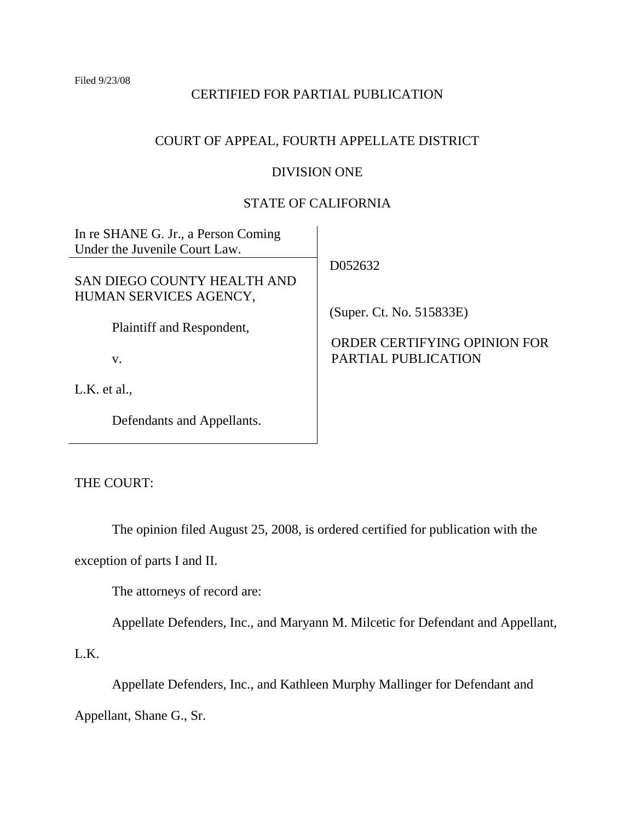Filed 9/23/08

# CERTIFIED FOR PARTIAL PUBLICATION

# COURT OF APPEAL, FOURTH APPELLATE DISTRICT

# DIVISION ONE

## STATE OF CALIFORNIA

In re SHANE G. Jr., a Person Coming Under the Juvenile Court Law.

SAN DIEGO COUNTY HEALTH AND HUMAN SERVICES AGENCY,

Plaintiff and Respondent,

v.

L.K. et al.,

Defendants and Appellants.

D052632

(Super. Ct. No. 515833E)

ORDER CERTIFYING OPINION FOR PARTIAL PUBLICATION

THE COURT:

The opinion filed August 25, 2008, is ordered certified for publication with the

exception of parts I and II.

The attorneys of record are:

Appellate Defenders, Inc., and Maryann M. Milcetic for Defendant and Appellant,

L.K.

Appellate Defenders, Inc., and Kathleen Murphy Mallinger for Defendant and

Appellant, Shane G., Sr.